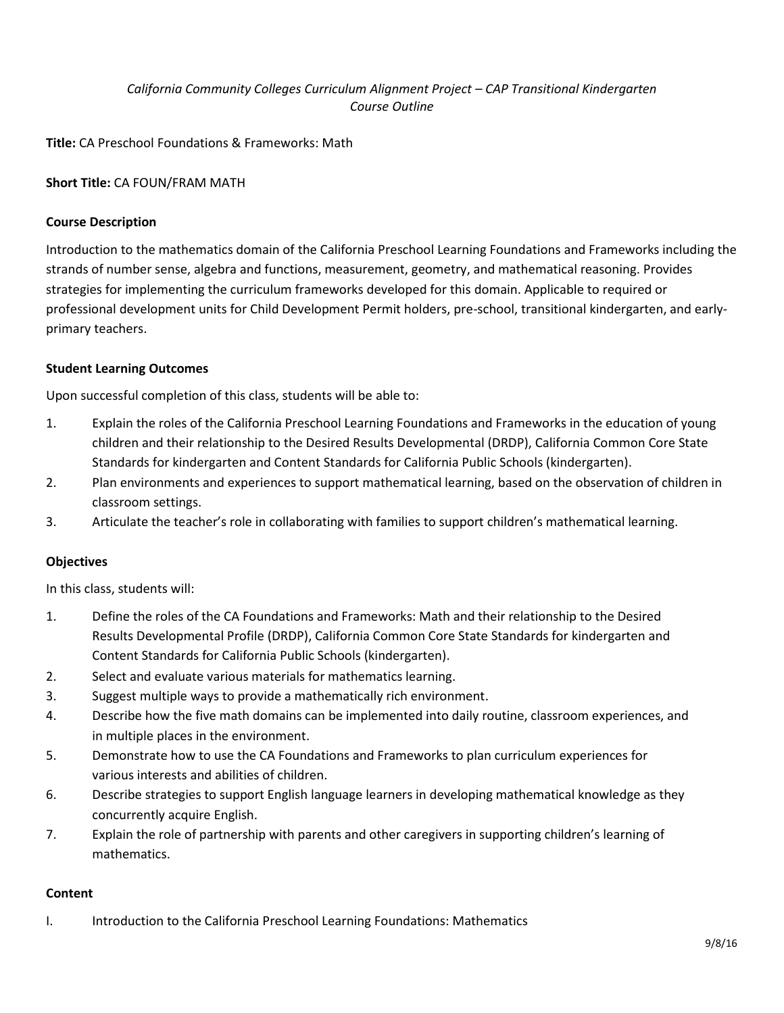# *California Community Colleges Curriculum Alignment Project – CAP Transitional Kindergarten Course Outline*

**Title:** CA Preschool Foundations & Frameworks: Math

## **Short Title:** CA FOUN/FRAM MATH

### **Course Description**

Introduction to the mathematics domain of the California Preschool Learning Foundations and Frameworks including the strands of number sense, algebra and functions, measurement, geometry, and mathematical reasoning. Provides strategies for implementing the curriculum frameworks developed for this domain. Applicable to required or professional development units for Child Development Permit holders, pre-school, transitional kindergarten, and earlyprimary teachers.

### **Student Learning Outcomes**

Upon successful completion of this class, students will be able to:

- 1. Explain the roles of the California Preschool Learning Foundations and Frameworks in the education of young children and their relationship to the Desired Results Developmental (DRDP), California Common Core State Standards for kindergarten and Content Standards for California Public Schools (kindergarten).
- 2. Plan environments and experiences to support mathematical learning, based on the observation of children in classroom settings.
- 3. Articulate the teacher's role in collaborating with families to support children's mathematical learning.

### **Objectives**

In this class, students will:

- 1. Define the roles of the CA Foundations and Frameworks: Math and their relationship to the Desired Results Developmental Profile (DRDP), California Common Core State Standards for kindergarten and Content Standards for California Public Schools (kindergarten).
- 2. Select and evaluate various materials for mathematics learning.
- 3. Suggest multiple ways to provide a mathematically rich environment.
- 4. Describe how the five math domains can be implemented into daily routine, classroom experiences, and in multiple places in the environment.
- 5. Demonstrate how to use the CA Foundations and Frameworks to plan curriculum experiences for various interests and abilities of children.
- 6. Describe strategies to support English language learners in developing mathematical knowledge as they concurrently acquire English.
- 7. Explain the role of partnership with parents and other caregivers in supporting children's learning of mathematics.

### **Content**

I. Introduction to the California Preschool Learning Foundations: Mathematics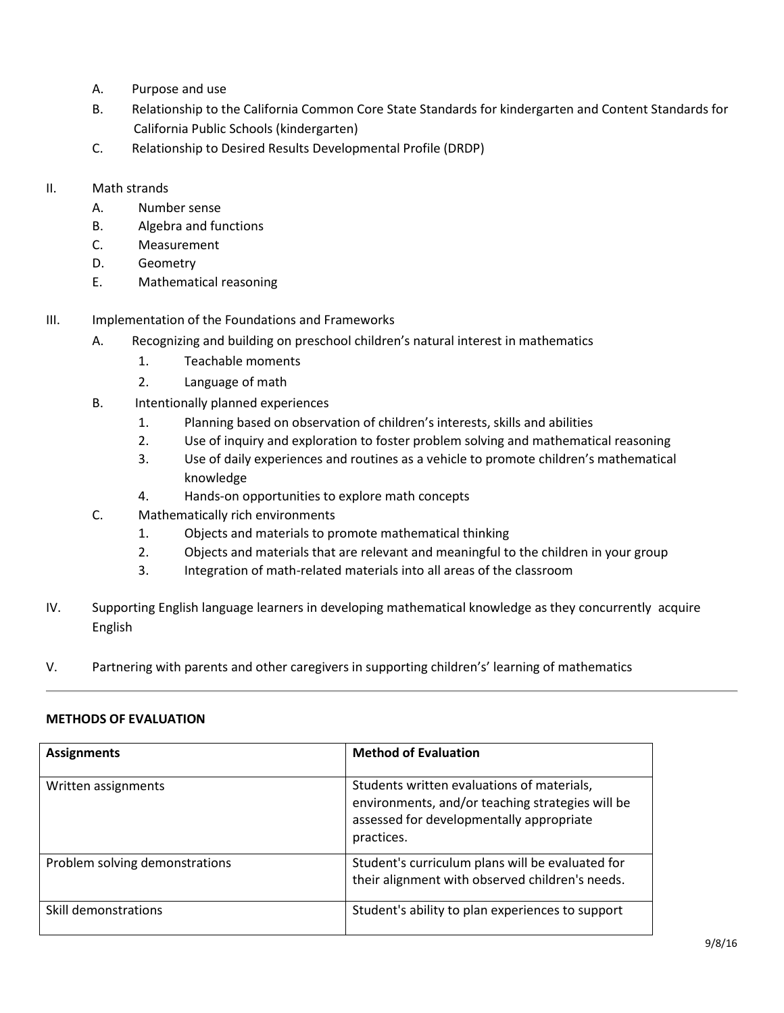- A. Purpose and use
- B. Relationship to the California Common Core State Standards for kindergarten and Content Standards for California Public Schools (kindergarten)
- C. Relationship to Desired Results Developmental Profile (DRDP)
- II. Math strands
	- A. Number sense
	- B. Algebra and functions
	- C. Measurement
	- D. Geometry
	- E. Mathematical reasoning
- III. Implementation of the Foundations and Frameworks
	- A. Recognizing and building on preschool children's natural interest in mathematics
		- 1. Teachable moments
		- 2. Language of math
	- B. Intentionally planned experiences
		- 1. Planning based on observation of children's interests, skills and abilities
		- 2. Use of inquiry and exploration to foster problem solving and mathematical reasoning
		- 3. Use of daily experiences and routines as a vehicle to promote children's mathematical knowledge
		- 4. Hands-on opportunities to explore math concepts
	- C. Mathematically rich environments
		- 1. Objects and materials to promote mathematical thinking
		- 2. Objects and materials that are relevant and meaningful to the children in your group
		- 3. Integration of math-related materials into all areas of the classroom
- IV. Supporting English language learners in developing mathematical knowledge as they concurrently acquire English
- V. Partnering with parents and other caregivers in supporting children's' learning of mathematics

### **METHODS OF EVALUATION**

| <b>Assignments</b>             | <b>Method of Evaluation</b>                                                                                                                              |
|--------------------------------|----------------------------------------------------------------------------------------------------------------------------------------------------------|
| Written assignments            | Students written evaluations of materials,<br>environments, and/or teaching strategies will be<br>assessed for developmentally appropriate<br>practices. |
| Problem solving demonstrations | Student's curriculum plans will be evaluated for<br>their alignment with observed children's needs.                                                      |
| Skill demonstrations           | Student's ability to plan experiences to support                                                                                                         |